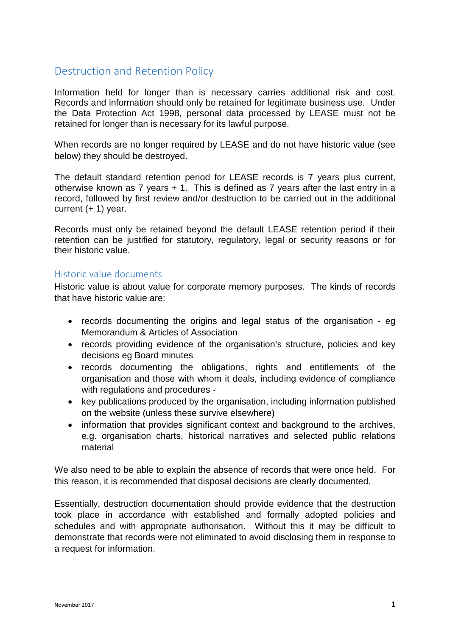## Destruction and Retention Policy

Information held for longer than is necessary carries additional risk and cost. Records and information should only be retained for legitimate business use. Under the Data Protection Act 1998, personal data processed by LEASE must not be retained for longer than is necessary for its lawful purpose.

When records are no longer required by LEASE and do not have historic value (see below) they should be destroyed.

The default standard retention period for LEASE records is 7 years plus current, otherwise known as 7 years + 1. This is defined as 7 years after the last entry in a record, followed by first review and/or destruction to be carried out in the additional current  $(+ 1)$  year.

Records must only be retained beyond the default LEASE retention period if their retention can be justified for statutory, regulatory, legal or security reasons or for their historic value.

## Historic value documents

Historic value is about value for corporate memory purposes. The kinds of records that have historic value are:

- records documenting the origins and legal status of the organisation eg Memorandum & Articles of Association
- records providing evidence of the organisation's structure, policies and key decisions eg Board minutes
- records documenting the obligations, rights and entitlements of the organisation and those with whom it deals, including evidence of compliance with regulations and procedures -
- key publications produced by the organisation, including information published on the website (unless these survive elsewhere)
- information that provides significant context and background to the archives, e.g. organisation charts, historical narratives and selected public relations material

We also need to be able to explain the absence of records that were once held. For this reason, it is recommended that disposal decisions are clearly documented.

Essentially, destruction documentation should provide evidence that the destruction took place in accordance with established and formally adopted policies and schedules and with appropriate authorisation. Without this it may be difficult to demonstrate that records were not eliminated to avoid disclosing them in response to a request for information.